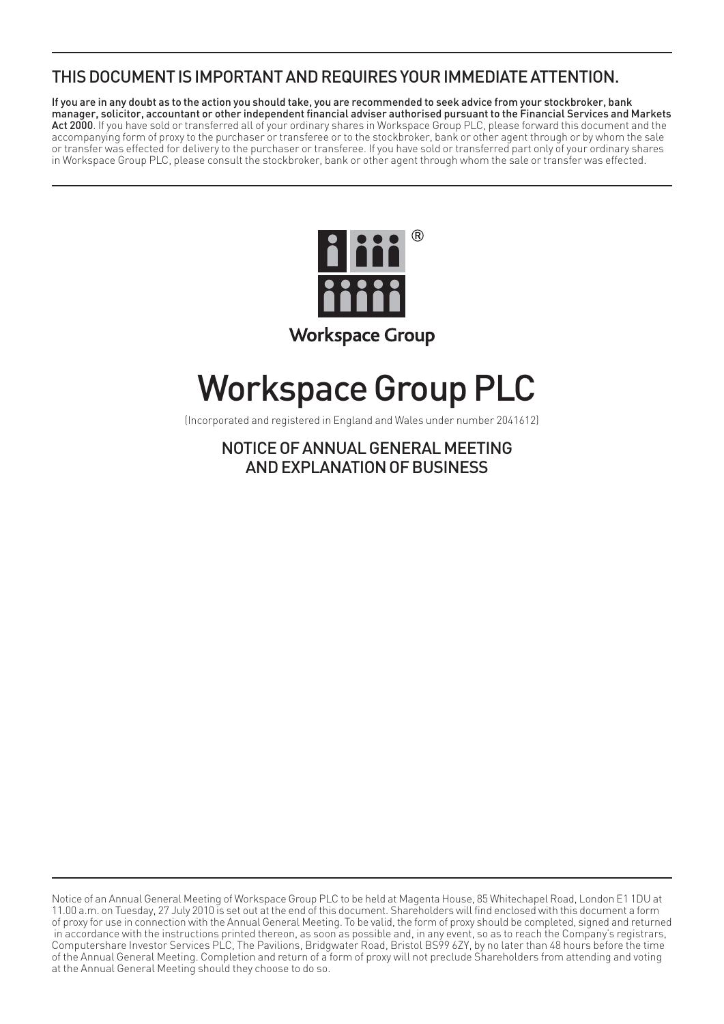# THIS DOCUMENT IS IMPORTANT AND REQUIRES YOUR IMMEDIATE ATTENTION.

If you are in any doubt as to the action you should take, you are recommended to seek advice from your stockbroker, bank manager, solicitor, accountant or other independent financial adviser authorised pursuant to the Financial Services and Markets Act 2000. If you have sold or transferred all of your ordinary shares in Workspace Group PLC, please forward this document and the accompanying form of proxy to the purchaser or transferee or to the stockbroker, bank or other agent through or by whom the sale or transfer was effected for delivery to the purchaser or transferee. If you have sold or transferred part only of your ordinary shares in Workspace Group PLC, please consult the stockbroker, bank or other agent through whom the sale or transfer was effected.



# Workspace Group PLC

(Incorporated and registered in England and Wales under number 2041612)

NOTICE OF ANNUAL GENERAL MEETING AND EXPLANATION OF BUSINESS

Notice of an Annual General Meeting of Workspace Group PLC to be held at Magenta House, 85 Whitechapel Road, London E1 1DU at 11.00 a.m. on Tuesday, 27 July 2010 is set out at the end of this document. Shareholders will find enclosed with this document a form of proxy for use in connection with the Annual General Meeting. To be valid, the form of proxy should be completed, signed and returned in accordance with the instructions printed thereon, as soon as possible and, in any event, so as to reach the Company's registrars, Computershare Investor Services PLC, The Pavilions, Bridgwater Road, Bristol BS99 6ZY, by no later than 48 hours before the time of the Annual General Meeting. Completion and return of a form of proxy will not preclude Shareholders from attending and voting at the Annual General Meeting should they choose to do so.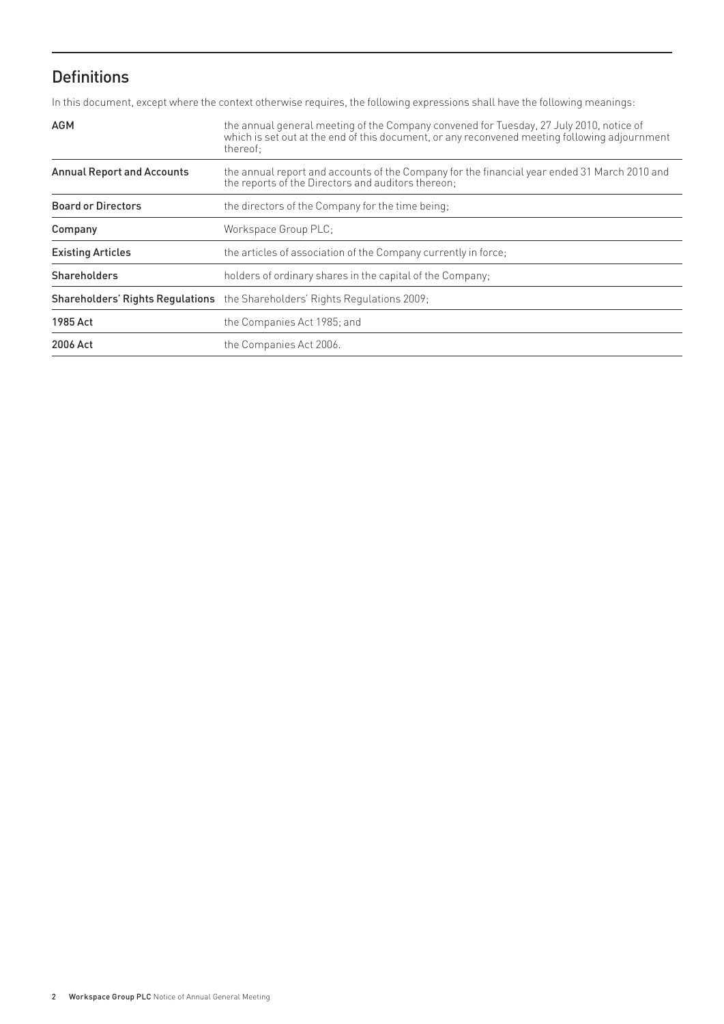# Definitions

In this document, except where the context otherwise requires, the following expressions shall have the following meanings:

| <b>AGM</b>                        | the annual general meeting of the Company convened for Tuesday, 27 July 2010, notice of<br>which is set out at the end of this document, or any reconvened meeting following adjournment<br>thereof: |
|-----------------------------------|------------------------------------------------------------------------------------------------------------------------------------------------------------------------------------------------------|
| <b>Annual Report and Accounts</b> | the annual report and accounts of the Company for the financial year ended 31 March 2010 and<br>the reports of the Directors and auditors thereon;                                                   |
| <b>Board or Directors</b>         | the directors of the Company for the time being;                                                                                                                                                     |
| Company                           | Workspace Group PLC;                                                                                                                                                                                 |
| <b>Existing Articles</b>          | the articles of association of the Company currently in force;                                                                                                                                       |
| <b>Shareholders</b>               | holders of ordinary shares in the capital of the Company;                                                                                                                                            |
|                                   | <b>Shareholders' Rights Regulations</b> the Shareholders' Rights Regulations 2009;                                                                                                                   |
| 1985 Act                          | the Companies Act 1985; and                                                                                                                                                                          |
| 2006 Act                          | the Companies Act 2006.                                                                                                                                                                              |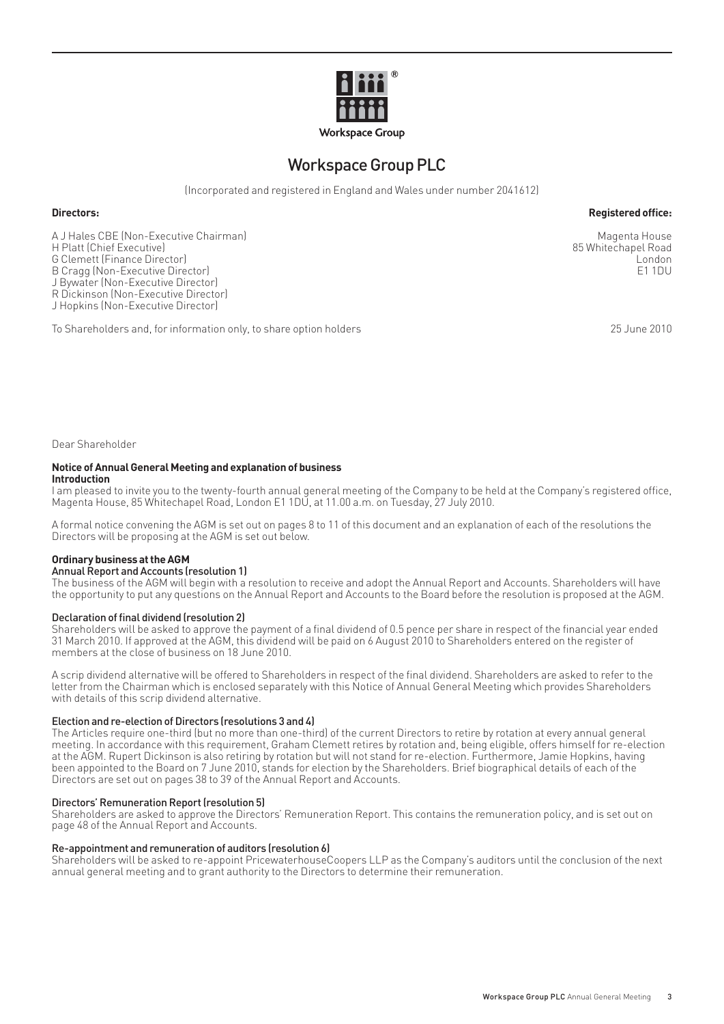

# Workspace Group PLC

(Incorporated and registered in England and Wales under number 2041612)

#### **Directors:** Reqistered office:

A J Hales CBE (Non-Executive Chairman)<br>H Platt (Chief Executive) Magenta House (Non-Executive) Magenta House (Non-Executive) H Platt (Chief Executive) 85 Whitechapel Road (September 2012) 85 Whitechapel Road (September 2013) 85 Whitechapel Road (September 2014) 85 Whitechapel Road (September 2014) 85 Whitechapel Road (September 2014) 85 Whitecha G Clemett (Finance Director) **London**<br>B Cragg (Non-Executive Director) **London**<br>B Cragg (Non-Executive Director) B Cragg (Non-Executive Director) J Bywater (Non-Executive Director) R Dickinson (Non-Executive Director) J Hopkins (Non-Executive Director)

To Shareholders and, for information only, to share option holders 25 June 2010

Dear Shareholder

#### **Notice of Annual General Meeting and explanation of business Introduction**

I am pleased to invite you to the twenty-fourth annual general meeting of the Company to be held at the Company's registered office, Magenta House, 85 Whitechapel Road, London E1 1DU, at 11.00 a.m. on Tuesday, 27 July 2010.

A formal notice convening the AGM is set out on pages 8 to 11 of this document and an explanation of each of the resolutions the Directors will be proposing at the AGM is set out below.

#### **Ordinary business at the AGM**

#### Annual Report and Accounts (resolution 1)

The business of the AGM will begin with a resolution to receive and adopt the Annual Report and Accounts. Shareholders will have the opportunity to put any questions on the Annual Report and Accounts to the Board before the resolution is proposed at the AGM.

#### Declaration of final dividend (resolution 2)

Shareholders will be asked to approve the payment of a final dividend of 0.5 pence per share in respect of the financial year ended 31 March 2010. If approved at the AGM, this dividend will be paid on 6 August 2010 to Shareholders entered on the register of members at the close of business on 18 June 2010.

A scrip dividend alternative will be offered to Shareholders in respect of the final dividend. Shareholders are asked to refer to the letter from the Chairman which is enclosed separately with this Notice of Annual General Meeting which provides Shareholders with details of this scrip dividend alternative.

#### Election and re-election of Directors (resolutions 3 and 4)

The Articles require one-third (but no more than one-third) of the current Directors to retire by rotation at every annual general meeting. In accordance with this requirement, Graham Clemett retires by rotation and, being eligible, offers himself for re-election at the AGM. Rupert Dickinson is also retiring by rotation but will not stand for re-election. Furthermore, Jamie Hopkins, having been appointed to the Board on 7 June 2010, stands for election by the Shareholders. Brief biographical details of each of the Directors are set out on pages 38 to 39 of the Annual Report and Accounts.

#### Directors' Remuneration Report (resolution 5)

Shareholders are asked to approve the Directors' Remuneration Report. This contains the remuneration policy, and is set out on page 48 of the Annual Report and Accounts.

#### Re-appointment and remuneration of auditors (resolution 6)

Shareholders will be asked to re-appoint PricewaterhouseCoopers LLP as the Company's auditors until the conclusion of the next annual general meeting and to grant authority to the Directors to determine their remuneration.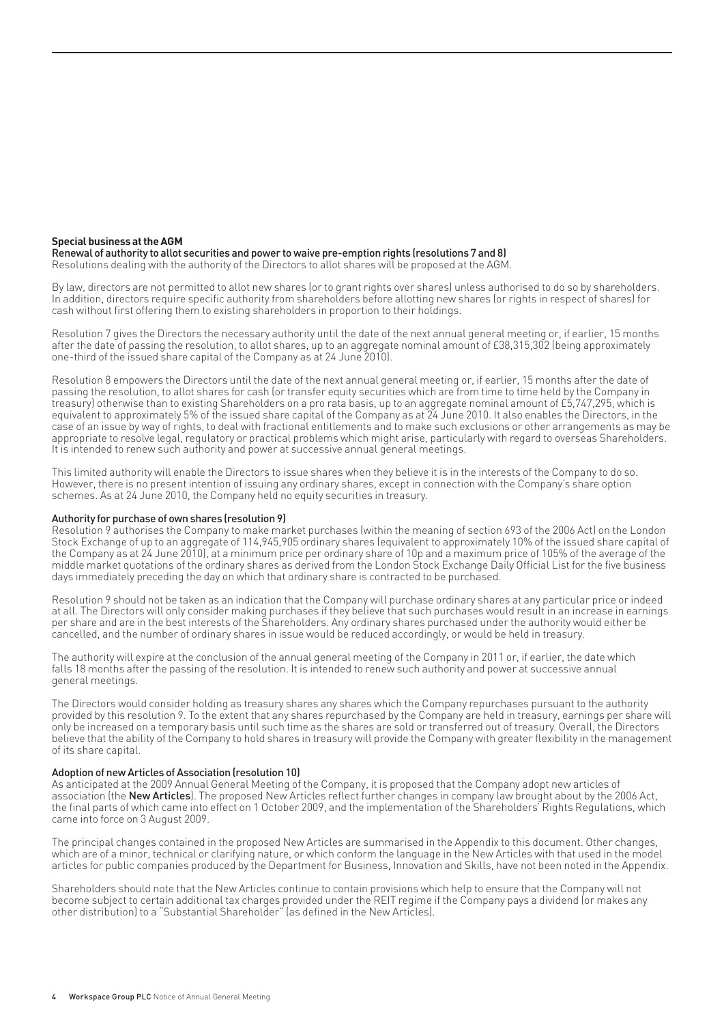#### **Special business at the AGM**

Renewal of authority to allot securities and power to waive pre-emption rights (resolutions 7 and 8) Resolutions dealing with the authority of the Directors to allot shares will be proposed at the AGM.

By law, directors are not permitted to allot new shares (or to grant rights over shares) unless authorised to do so by shareholders. In addition, directors require specific authority from shareholders before allotting new shares (or rights in respect of shares) for cash without first offering them to existing shareholders in proportion to their holdings.

Resolution 7 gives the Directors the necessary authority until the date of the next annual general meeting or, if earlier, 15 months after the date of passing the resolution, to allot shares, up to an aggregate nominal amount of £38,315,302 (being approximately one-third of the issued share capital of the Company as at 24 June 2010).

Resolution 8 empowers the Directors until the date of the next annual general meeting or, if earlier, 15 months after the date of passing the resolution, to allot shares for cash (or transfer equity securities which are from time to time held by the Company in treasury) otherwise than to existing Shareholders on a pro rata basis, up to an aggregate nominal amount of £5,747,295, which is equivalent to approximately 5% of the issued share capital of the Company as at 24 June 2010. It also enables the Directors, in the case of an issue by way of rights, to deal with fractional entitlements and to make such exclusions or other arrangements as may be appropriate to resolve legal, regulatory or practical problems which might arise, particularly with regard to overseas Shareholders. It is intended to renew such authority and power at successive annual general meetings.

This limited authority will enable the Directors to issue shares when they believe it is in the interests of the Company to do so. However, there is no present intention of issuing any ordinary shares, except in connection with the Company's share option schemes. As at 24 June 2010, the Company held no equity securities in treasury.

#### Authority for purchase of own shares (resolution 9)

Resolution 9 authorises the Company to make market purchases (within the meaning of section 693 of the 2006 Act) on the London Stock Exchange of up to an aggregate of 114,945,905 ordinary shares (equivalent to approximately 10% of the issued share capital of the Company as at 24 June 2010), at a minimum price per ordinary share of 10p and a maximum price of 105% of the average of the middle market quotations of the ordinary shares as derived from the London Stock Exchange Daily Official List for the five business days immediately preceding the day on which that ordinary share is contracted to be purchased.

Resolution 9 should not be taken as an indication that the Company will purchase ordinary shares at any particular price or indeed at all. The Directors will only consider making purchases if they believe that such purchases would result in an increase in earnings per share and are in the best interests of the Shareholders. Any ordinary shares purchased under the authority would either be cancelled, and the number of ordinary shares in issue would be reduced accordingly, or would be held in treasury.

The authority will expire at the conclusion of the annual general meeting of the Company in 2011 or, if earlier, the date which falls 18 months after the passing of the resolution. It is intended to renew such authority and power at successive annual general meetings.

The Directors would consider holding as treasury shares any shares which the Company repurchases pursuant to the authority provided by this resolution 9. To the extent that any shares repurchased by the Company are held in treasury, earnings per share will only be increased on a temporary basis until such time as the shares are sold or transferred out of treasury. Overall, the Directors believe that the ability of the Company to hold shares in treasury will provide the Company with greater flexibility in the management of its share capital.

#### Adoption of new Articles of Association (resolution 10)

As anticipated at the 2009 Annual General Meeting of the Company, it is proposed that the Company adopt new articles of association (the **New Articles**). The proposed New Articles reflect further changes in company law brought about by the 2006 Act, the final parts of which came into effect on 1 October 2009, and the implementation of the Shareholders' Rights Regulations, which came into force on 3 August 2009.

The principal changes contained in the proposed New Articles are summarised in the Appendix to this document. Other changes, which are of a minor, technical or clarifying nature, or which conform the language in the New Articles with that used in the model articles for public companies produced by the Department for Business, Innovation and Skills, have not been noted in the Appendix.

Shareholders should note that the New Articles continue to contain provisions which help to ensure that the Company will not become subject to certain additional tax charges provided under the REIT regime if the Company pays a dividend (or makes any other distribution) to a "Substantial Shareholder" (as defined in the New Articles).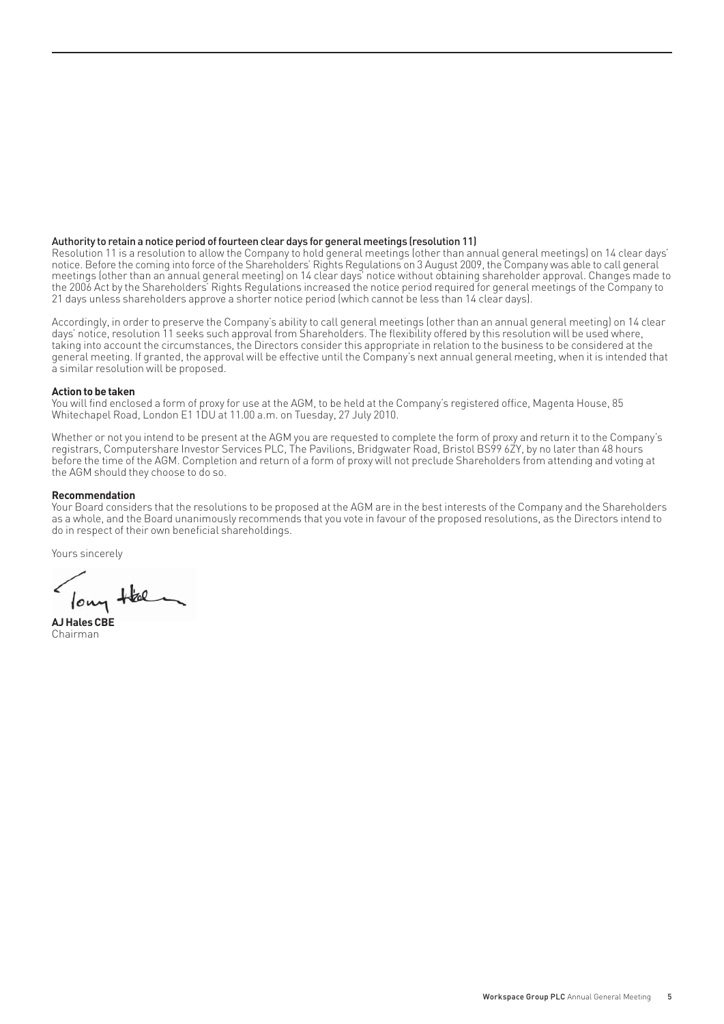#### Authority to retain a notice period of fourteen clear days for general meetings (resolution 11)

Resolution 11 is a resolution to allow the Company to hold general meetings (other than annual general meetings) on 14 clear days' notice. Before the coming into force of the Shareholders' Rights Regulations on 3 August 2009, the Company was able to call general meetings (other than an annual general meeting) on 14 clear days' notice without obtaining shareholder approval. Changes made to the 2006 Act by the Shareholders' Rights Regulations increased the notice period required for general meetings of the Company to 21 days unless shareholders approve a shorter notice period (which cannot be less than 14 clear days).

Accordingly, in order to preserve the Company's ability to call general meetings (other than an annual general meeting) on 14 clear days' notice, resolution 11 seeks such approval from Shareholders. The flexibility offered by this resolution will be used where, taking into account the circumstances, the Directors consider this appropriate in relation to the business to be considered at the general meeting. If granted, the approval will be effective until the Company's next annual general meeting, when it is intended that a similar resolution will be proposed.

#### **Action to be taken**

You will find enclosed a form of proxy for use at the AGM, to be held at the Company's registered office, Magenta House, 85 Whitechapel Road, London E1 1DU at 11.00 a.m. on Tuesday, 27 July 2010.

Whether or not you intend to be present at the AGM you are requested to complete the form of proxy and return it to the Company's registrars, Computershare Investor Services PLC, The Pavilions, Bridgwater Road, Bristol BS99 6ZY, by no later than 48 hours before the time of the AGM. Completion and return of a form of proxy will not preclude Shareholders from attending and voting at the AGM should they choose to do so.

#### **Recommendation**

Your Board considers that the resolutions to be proposed at the AGM are in the best interests of the Company and the Shareholders as a whole, and the Board unanimously recommends that you vote in favour of the proposed resolutions, as the Directors intend to do in respect of their own beneficial shareholdings.

Yours sincerely

long Hel **AJ Hales CBE**

Chairman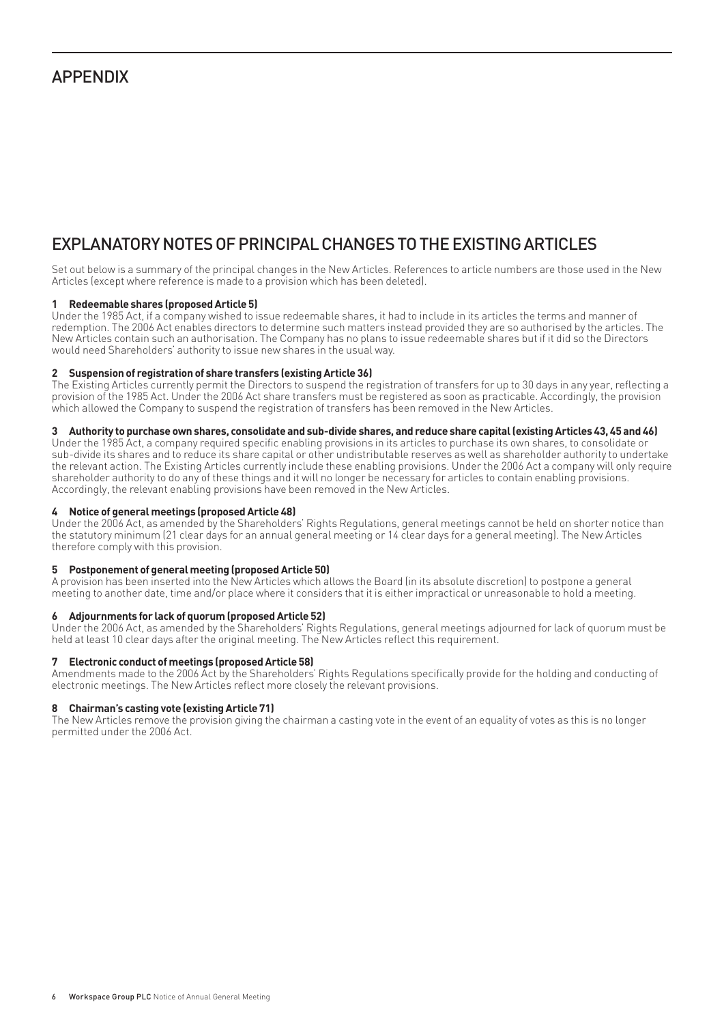### APPENDIX

# EXPLANATORY NOTES OF PRINCIPAL CHANGES TO THE EXISTING ARTICLES

Set out below is a summary of the principal changes in the New Articles. References to article numbers are those used in the New Articles (except where reference is made to a provision which has been deleted).

#### **1 Redeemable shares (proposed Article 5)**

Under the 1985 Act, if a company wished to issue redeemable shares, it had to include in its articles the terms and manner of redemption. The 2006 Act enables directors to determine such matters instead provided they are so authorised by the articles. The New Articles contain such an authorisation. The Company has no plans to issue redeemable shares but if it did so the Directors would need Shareholders' authority to issue new shares in the usual way.

#### **2 Suspension of registration of share transfers (existing Article 36)**

The Existing Articles currently permit the Directors to suspend the registration of transfers for up to 30 days in any year, reflecting a provision of the 1985 Act. Under the 2006 Act share transfers must be registered as soon as practicable. Accordingly, the provision which allowed the Company to suspend the registration of transfers has been removed in the New Articles.

#### **3 Authority to purchase own shares, consolidate and sub-divide shares, and reduce share capital (existing Articles 43, 45 and 46)**

Under the 1985 Act, a company required specific enabling provisions in its articles to purchase its own shares, to consolidate or sub-divide its shares and to reduce its share capital or other undistributable reserves as well as shareholder authority to undertake the relevant action. The Existing Articles currently include these enabling provisions. Under the 2006 Act a company will only require shareholder authority to do any of these things and it will no longer be necessary for articles to contain enabling provisions. Accordingly, the relevant enabling provisions have been removed in the New Articles.

#### **4 Notice of general meetings (proposed Article 48)**

Under the 2006 Act, as amended by the Shareholders' Rights Regulations, general meetings cannot be held on shorter notice than the statutory minimum (21 clear days for an annual general meeting or 14 clear days for a general meeting). The New Articles therefore comply with this provision.

#### **5 Postponement of general meeting (proposed Article 50)**

A provision has been inserted into the New Articles which allows the Board (in its absolute discretion) to postpone a general meeting to another date, time and/or place where it considers that it is either impractical or unreasonable to hold a meeting.

#### **6 Adjournments for lack of quorum (proposed Article 52)**

Under the 2006 Act, as amended by the Shareholders' Rights Regulations, general meetings adjourned for lack of quorum must be held at least 10 clear days after the original meeting. The New Articles reflect this requirement.

#### **7 Electronic conduct of meetings (proposed Article 58)**

Amendments made to the 2006 Act by the Shareholders' Rights Regulations specifi cally provide for the holding and conducting of electronic meetings. The New Articles reflect more closely the relevant provisions.

#### **8 Chairman's casting vote (existing Article 71)**

The New Articles remove the provision giving the chairman a casting vote in the event of an equality of votes as this is no longer permitted under the 2006 Act.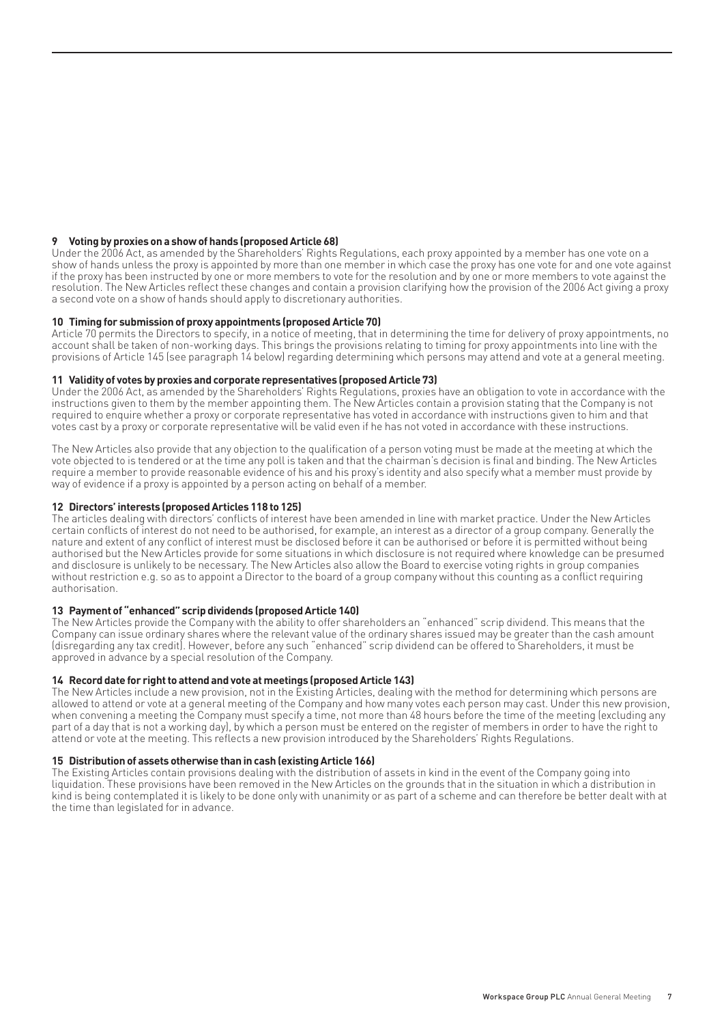#### **9 Voting by proxies on a show of hands (proposed Article 68)**

Under the 2006 Act, as amended by the Shareholders' Rights Regulations, each proxy appointed by a member has one vote on a show of hands unless the proxy is appointed by more than one member in which case the proxy has one vote for and one vote against if the proxy has been instructed by one or more members to vote for the resolution and by one or more members to vote against the resolution. The New Articles reflect these changes and contain a provision clarifying how the provision of the 2006 Act giving a proxy a second vote on a show of hands should apply to discretionary authorities.

#### **10 Timing for submission of proxy appointments (proposed Article 70)**

Article 70 permits the Directors to specify, in a notice of meeting, that in determining the time for delivery of proxy appointments, no account shall be taken of non-working days. This brings the provisions relating to timing for proxy appointments into line with the provisions of Article 145 (see paragraph 14 below) regarding determining which persons may attend and vote at a general meeting.

#### **11 Validity of votes by proxies and corporate representatives (proposed Article 73)**

Under the 2006 Act, as amended by the Shareholders' Rights Regulations, proxies have an obligation to vote in accordance with the instructions given to them by the member appointing them. The New Articles contain a provision stating that the Company is not required to enquire whether a proxy or corporate representative has voted in accordance with instructions given to him and that votes cast by a proxy or corporate representative will be valid even if he has not voted in accordance with these instructions.

The New Articles also provide that any objection to the qualification of a person voting must be made at the meeting at which the vote objected to is tendered or at the time any poll is taken and that the chairman's decision is final and binding. The New Articles require a member to provide reasonable evidence of his and his proxy's identity and also specify what a member must provide by way of evidence if a proxy is appointed by a person acting on behalf of a member.

#### **12 Directors' interests (proposed Articles 118 to 125)**

The articles dealing with directors' conflicts of interest have been amended in line with market practice. Under the New Articles certain conflicts of interest do not need to be authorised, for example, an interest as a director of a group company. Generally the nature and extent of any conflict of interest must be disclosed before it can be authorised or before it is permitted without being authorised but the New Articles provide for some situations in which disclosure is not required where knowledge can be presumed and disclosure is unlikely to be necessary. The New Articles also allow the Board to exercise voting rights in group companies without restriction e.g. so as to appoint a Director to the board of a group company without this counting as a conflict requiring authorisation.

#### **13 Payment of "enhanced" scrip dividends (proposed Article 140)**

The New Articles provide the Company with the ability to offer shareholders an "enhanced" scrip dividend. This means that the Company can issue ordinary shares where the relevant value of the ordinary shares issued may be greater than the cash amount (disregarding any tax credit). However, before any such "enhanced" scrip dividend can be offered to Shareholders, it must be approved in advance by a special resolution of the Company.

#### **14 Record date for right to attend and vote at meetings (proposed Article 143)**

The New Articles include a new provision, not in the Existing Articles, dealing with the method for determining which persons are allowed to attend or vote at a general meeting of the Company and how many votes each person may cast. Under this new provision, when convening a meeting the Company must specify a time, not more than 48 hours before the time of the meeting (excluding any part of a day that is not a working day), by which a person must be entered on the register of members in order to have the right to attend or vote at the meeting. This reflects a new provision introduced by the Shareholders' Rights Regulations.

#### **15 Distribution of assets otherwise than in cash (existing Article 166)**

The Existing Articles contain provisions dealing with the distribution of assets in kind in the event of the Company going into liquidation. These provisions have been removed in the New Articles on the grounds that in the situation in which a distribution in kind is being contemplated it is likely to be done only with unanimity or as part of a scheme and can therefore be better dealt with at the time than legislated for in advance.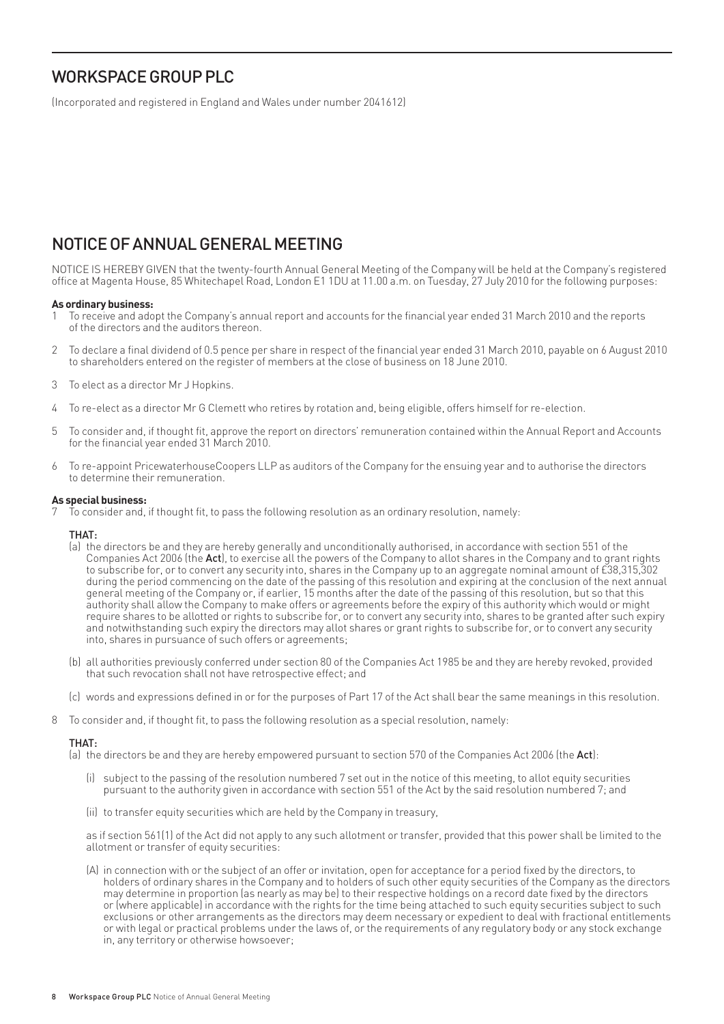# WORKSPACE GROUP PLC

(Incorporated and registered in England and Wales under number 2041612)

# NOTICE OF ANNUAL GENERAL MEETING

NOTICE IS HEREBY GIVEN that the twenty-fourth Annual General Meeting of the Company will be held at the Company's registered offi ce at Magenta House, 85 Whitechapel Road, London E1 1DU at 11.00 a.m. on Tuesday, 27 July 2010 for the following purposes:

#### **As ordinary business:**

- 1 To receive and adopt the Company's annual report and accounts for the fi nancial year ended 31 March 2010 and the reports of the directors and the auditors thereon.
- 2 To declare a final dividend of 0.5 pence per share in respect of the financial year ended 31 March 2010, payable on 6 August 2010 to shareholders entered on the register of members at the close of business on 18 June 2010.
- 3 To elect as a director Mr J Hopkins.
- 4 To re-elect as a director Mr G Clemett who retires by rotation and, being eligible, offers himself for re-election.
- 5 To consider and, if thought fi t, approve the report on directors' remuneration contained within the Annual Report and Accounts for the financial year ended 31 March 2010.
- 6 To re-appoint PricewaterhouseCoopers LLP as auditors of the Company for the ensuing year and to authorise the directors to determine their remuneration.

#### **As special business:**

To consider and, if thought fit, to pass the following resolution as an ordinary resolution, namely:

#### THAT:

- (a) the directors be and they are hereby generally and unconditionally authorised, in accordance with section 551 of the Companies Act 2006 (the Act), to exercise all the powers of the Company to allot shares in the Company and to grant rights to subscribe for, or to convert any security into, shares in the Company up to an aggregate nominal amount of £38,315,302 during the period commencing on the date of the passing of this resolution and expiring at the conclusion of the next annual general meeting of the Company or, if earlier, 15 months after the date of the passing of this resolution, but so that this authority shall allow the Company to make offers or agreements before the expiry of this authority which would or might require shares to be allotted or rights to subscribe for, or to convert any security into, shares to be granted after such expiry and notwithstanding such expiry the directors may allot shares or grant rights to subscribe for, or to convert any security into, shares in pursuance of such offers or agreements;
- (b) all authorities previously conferred under section 80 of the Companies Act 1985 be and they are hereby revoked, provided that such revocation shall not have retrospective effect; and
- (c) words and expressions defined in or for the purposes of Part 17 of the Act shall bear the same meanings in this resolution.
- 8 To consider and, if thought fit, to pass the following resolution as a special resolution, namely:

#### THAT:

(a) the directors be and they are hereby empowered pursuant to section 570 of the Companies Act 2006 (the Act):

- (i) subject to the passing of the resolution numbered 7 set out in the notice of this meeting, to allot equity securities pursuant to the authority given in accordance with section 551 of the Act by the said resolution numbered 7; and
- (ii) to transfer equity securities which are held by the Company in treasury,

 as if section 561(1) of the Act did not apply to any such allotment or transfer, provided that this power shall be limited to the allotment or transfer of equity securities:

(A) in connection with or the subject of an offer or invitation, open for acceptance for a period fixed by the directors, to holders of ordinary shares in the Company and to holders of such other equity securities of the Company as the directors may determine in proportion (as nearly as may be) to their respective holdings on a record date fixed by the directors or (where applicable) in accordance with the rights for the time being attached to such equity securities subject to such exclusions or other arrangements as the directors may deem necessary or expedient to deal with fractional entitlements or with legal or practical problems under the laws of, or the requirements of any regulatory body or any stock exchange in, any territory or otherwise howsoever;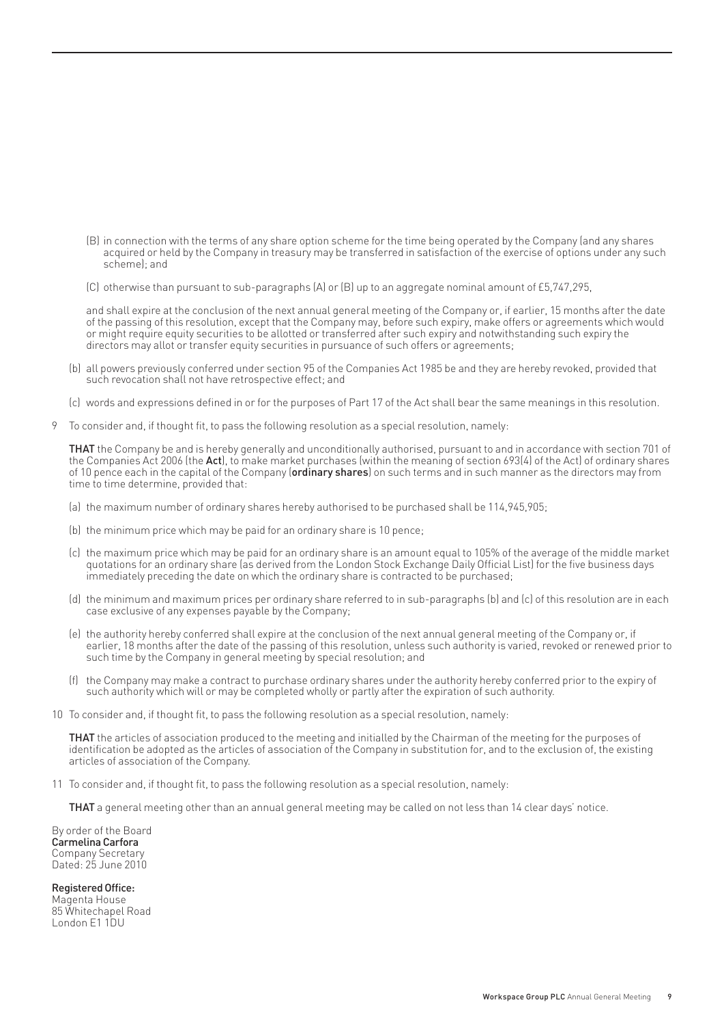- (B) in connection with the terms of any share option scheme for the time being operated by the Company (and any shares acquired or held by the Company in treasury may be transferred in satisfaction of the exercise of options under any such scheme); and
- (C) otherwise than pursuant to sub-paragraphs (A) or (B) up to an aggregate nominal amount of £5,747,295,

 and shall expire at the conclusion of the next annual general meeting of the Company or, if earlier, 15 months after the date of the passing of this resolution, except that the Company may, before such expiry, make offers or agreements which would or might require equity securities to be allotted or transferred after such expiry and notwithstanding such expiry the directors may allot or transfer equity securities in pursuance of such offers or agreements;

- (b) all powers previously conferred under section 95 of the Companies Act 1985 be and they are hereby revoked, provided that such revocation shall not have retrospective effect; and
- (c) words and expressions defined in or for the purposes of Part 17 of the Act shall bear the same meanings in this resolution.
- 9 To consider and, if thought fit, to pass the following resolution as a special resolution, namely:

THAT the Company be and is hereby generally and unconditionally authorised, pursuant to and in accordance with section 701 of the Companies Act 2006 (the Act), to make market purchases (within the meaning of section 693(4) of the Act) of ordinary shares of 10 pence each in the capital of the Company (ordinary shares) on such terms and in such manner as the directors may from time to time determine, provided that:

- (a) the maximum number of ordinary shares hereby authorised to be purchased shall be 114,945,905;
- (b) the minimum price which may be paid for an ordinary share is 10 pence;
- (c) the maximum price which may be paid for an ordinary share is an amount equal to 105% of the average of the middle market quotations for an ordinary share (as derived from the London Stock Exchange Daily Official List) for the five business days immediately preceding the date on which the ordinary share is contracted to be purchased;
	- (d) the minimum and maximum prices per ordinary share referred to in sub-paragraphs (b) and (c) of this resolution are in each case exclusive of any expenses payable by the Company;
	- (e) the authority hereby conferred shall expire at the conclusion of the next annual general meeting of the Company or, if earlier, 18 months after the date of the passing of this resolution, unless such authority is varied, revoked or renewed prior to such time by the Company in general meeting by special resolution; and
	- (f) the Company may make a contract to purchase ordinary shares under the authority hereby conferred prior to the expiry of such authority which will or may be completed wholly or partly after the expiration of such authority.
- 10 To consider and, if thought fit, to pass the following resolution as a special resolution, namely:

 THAT the articles of association produced to the meeting and initialled by the Chairman of the meeting for the purposes of identification be adopted as the articles of association of the Company in substitution for, and to the exclusion of, the existing articles of association of the Company.

11 To consider and, if thought fit, to pass the following resolution as a special resolution, namely:

THAT a general meeting other than an annual general meeting may be called on not less than 14 clear days' notice.

By order of the Board Carmelina Carfora Company Secretary Dated: 25 June 2010

Registered Office: Magenta House 85 Whitechapel Road London E1 1DU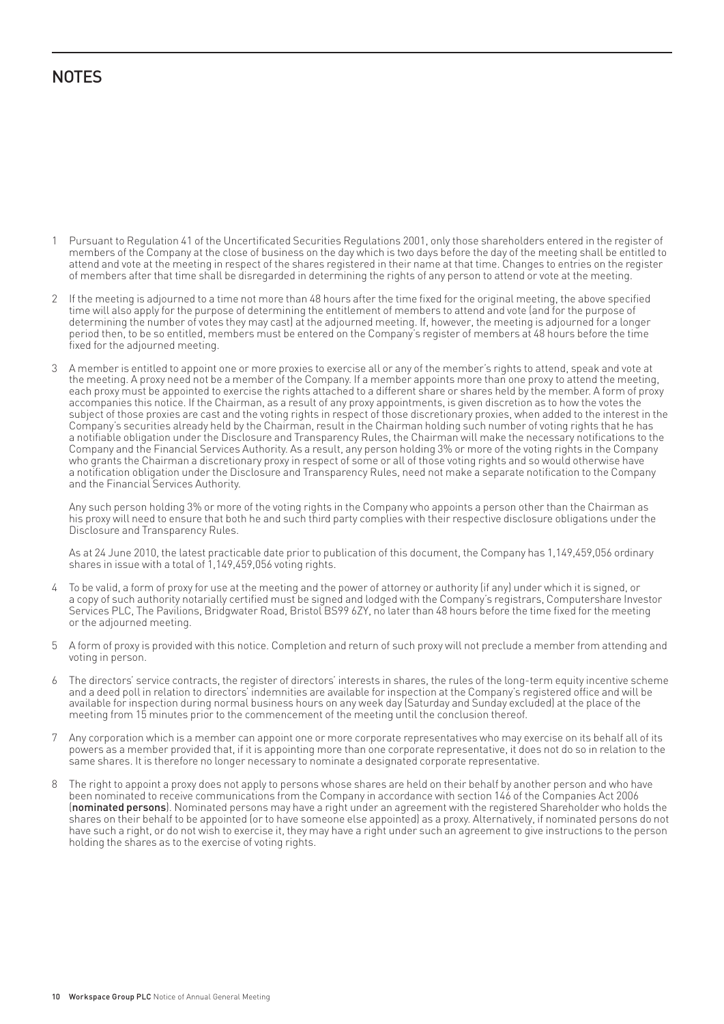# **NOTES**

- 1 Pursuant to Regulation 41 of the Uncertificated Securities Regulations 2001, only those shareholders entered in the register of members of the Company at the close of business on the day which is two days before the day of the meeting shall be entitled to attend and vote at the meeting in respect of the shares registered in their name at that time. Changes to entries on the register of members after that time shall be disregarded in determining the rights of any person to attend or vote at the meeting.
- 2 If the meeting is adjourned to a time not more than 48 hours after the time fixed for the original meeting, the above specified time will also apply for the purpose of determining the entitlement of members to attend and vote (and for the purpose of determining the number of votes they may cast) at the adjourned meeting. If, however, the meeting is adjourned for a longer period then, to be so entitled, members must be entered on the Company's register of members at 48 hours before the time fixed for the adjourned meeting.
- 3 A member is entitled to appoint one or more proxies to exercise all or any of the member's rights to attend, speak and vote at the meeting. A proxy need not be a member of the Company. If a member appoints more than one proxy to attend the meeting, each proxy must be appointed to exercise the rights attached to a different share or shares held by the member. A form of proxy accompanies this notice. If the Chairman, as a result of any proxy appointments, is given discretion as to how the votes the subject of those proxies are cast and the voting rights in respect of those discretionary proxies, when added to the interest in the Company's securities already held by the Chairman, result in the Chairman holding such number of voting rights that he has a notifiable obligation under the Disclosure and Transparency Rules, the Chairman will make the necessary notifications to the Company and the Financial Services Authority. As a result, any person holding 3% or more of the voting rights in the Company who grants the Chairman a discretionary proxy in respect of some or all of those voting rights and so would otherwise have a notification obligation under the Disclosure and Transparency Rules, need not make a separate notification to the Company and the Financial Services Authority.

Any such person holding 3% or more of the voting rights in the Company who appoints a person other than the Chairman as his proxy will need to ensure that both he and such third party complies with their respective disclosure obligations under the Disclosure and Transparency Rules.

As at 24 June 2010, the latest practicable date prior to publication of this document, the Company has 1,149,459,056 ordinary shares in issue with a total of 1,149,459,056 voting rights.

- 4 To be valid, a form of proxy for use at the meeting and the power of attorney or authority (if any) under which it is signed, or a copy of such authority notarially certified must be signed and lodged with the Company's registrars, Computershare Investor Services PLC, The Pavilions, Bridgwater Road, Bristol BS99 6ZY, no later than 48 hours before the time fixed for the meeting or the adjourned meeting.
- 5 A form of proxy is provided with this notice. Completion and return of such proxy will not preclude a member from attending and voting in person.
- The directors' service contracts, the register of directors' interests in shares, the rules of the long-term equity incentive scheme and a deed poll in relation to directors' indemnities are available for inspection at the Company's registered office and will be available for inspection during normal business hours on any week day (Saturday and Sunday excluded) at the place of the meeting from 15 minutes prior to the commencement of the meeting until the conclusion thereof.
- 7 Any corporation which is a member can appoint one or more corporate representatives who may exercise on its behalf all of its powers as a member provided that, if it is appointing more than one corporate representative, it does not do so in relation to the same shares. It is therefore no longer necessary to nominate a designated corporate representative.
- 8 The right to appoint a proxy does not apply to persons whose shares are held on their behalf by another person and who have been nominated to receive communications from the Company in accordance with section 146 of the Companies Act 2006 (nominated persons). Nominated persons may have a right under an agreement with the registered Shareholder who holds the shares on their behalf to be appointed (or to have someone else appointed) as a proxy. Alternatively, if nominated persons do not have such a right, or do not wish to exercise it, they may have a right under such an agreement to give instructions to the person holding the shares as to the exercise of voting rights.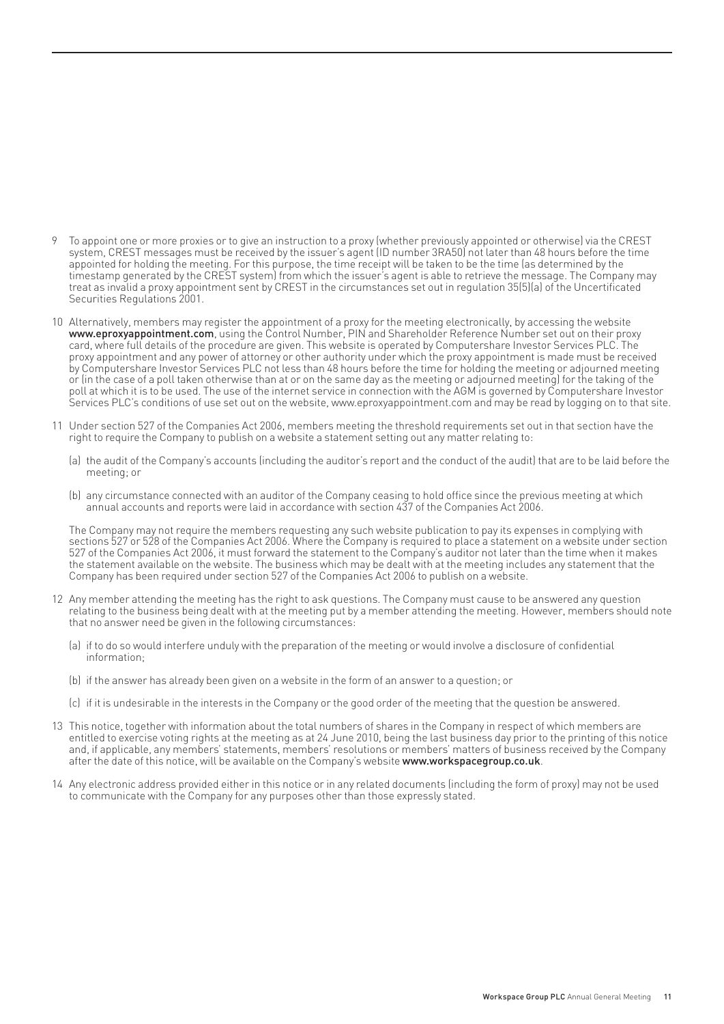- 9 To appoint one or more proxies or to give an instruction to a proxy (whether previously appointed or otherwise) via the CREST system, CREST messages must be received by the issuer's agent (ID number 3RA50) not later than 48 hours before the time appointed for holding the meeting. For this purpose, the time receipt will be taken to be the time (as determined by the timestamp generated by the CREST system) from which the issuer's agent is able to retrieve the message. The Company may treat as invalid a proxy appointment sent by CREST in the circumstances set out in regulation 35(5)(a) of the Uncertifi cated Securities Regulations 2001.
- 10 Alternatively, members may register the appointment of a proxy for the meeting electronically, by accessing the website www.eproxyappointment.com, using the Control Number, PIN and Shareholder Reference Number set out on their proxy card, where full details of the procedure are given. This website is operated by Computershare Investor Services PLC. The proxy appointment and any power of attorney or other authority under which the proxy appointment is made must be received by Computershare Investor Services PLC not less than 48 hours before the time for holding the meeting or adjourned meeting or (in the case of a poll taken otherwise than at or on the same day as the meeting or adjourned meeting) for the taking of the poll at which it is to be used. The use of the internet service in connection with the AGM is governed by Computershare Investor Services PLC's conditions of use set out on the website, www.eproxyappointment.com and may be read by logging on to that site.
- 11 Under section 527 of the Companies Act 2006, members meeting the threshold requirements set out in that section have the right to require the Company to publish on a website a statement setting out any matter relating to:
	- (a) the audit of the Company's accounts (including the auditor's report and the conduct of the audit) that are to be laid before the meeting; or
	- (b) any circumstance connected with an auditor of the Company ceasing to hold office since the previous meeting at which annual accounts and reports were laid in accordance with section 437 of the Companies Act 2006.

The Company may not require the members requesting any such website publication to pay its expenses in complying with sections 527 or 528 of the Companies Act 2006. Where the Company is required to place a statement on a website under section 527 of the Companies Act 2006, it must forward the statement to the Company's auditor not later than the time when it makes the statement available on the website. The business which may be dealt with at the meeting includes any statement that the Company has been required under section 527 of the Companies Act 2006 to publish on a website.

- 12 Any member attending the meeting has the right to ask questions. The Company must cause to be answered any question relating to the business being dealt with at the meeting put by a member attending the meeting. However, members should note that no answer need be given in the following circumstances:
	- (a) if to do so would interfere unduly with the preparation of the meeting or would involve a disclosure of confidential information;
	- (b) if the answer has already been given on a website in the form of an answer to a question; or
	- (c) if it is undesirable in the interests in the Company or the good order of the meeting that the question be answered.
- 13 This notice, together with information about the total numbers of shares in the Company in respect of which members are entitled to exercise voting rights at the meeting as at 24 June 2010, being the last business day prior to the printing of this notice and, if applicable, any members' statements, members' resolutions or members' matters of business received by the Company after the date of this notice, will be available on the Company's website www.workspacegroup.co.uk.
- 14 Any electronic address provided either in this notice or in any related documents (including the form of proxy) may not be used to communicate with the Company for any purposes other than those expressly stated.